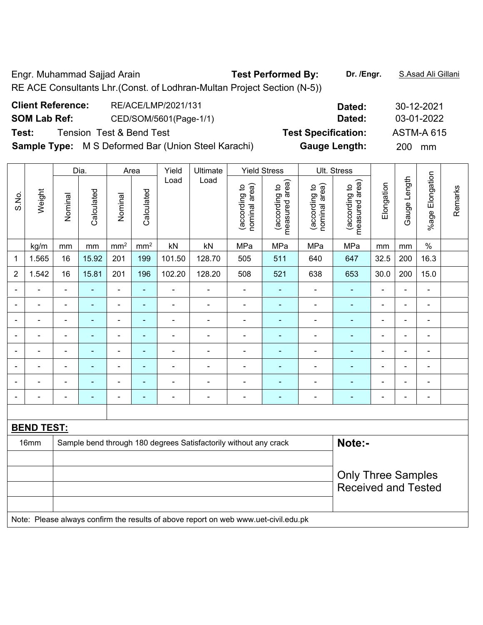Engr. Muhammad Sajjad Arain **Test Performed By: Dr. /Engr.** S.Asad Ali Gillani RE ACE Consultants Lhr.(Const. of Lodhran-Multan Project Section (N-5))

| <b>Client Reference:</b>                     | RE/ACE/LMP/2021/131                                        | Dated:               | 30-12-2021 |
|----------------------------------------------|------------------------------------------------------------|----------------------|------------|
| <b>SOM Lab Ref:</b>                          | CED/SOM/5601(Page-1/1)                                     | 03-01-2022           |            |
| <b>Tension Test &amp; Bend Test</b><br>Test: | <b>ASTM-A 615</b>                                          |                      |            |
|                                              | <b>Sample Type:</b> M S Deformed Bar (Union Steel Karachi) | <b>Gauge Length:</b> | 200<br>mm  |
|                                              |                                                            |                      |            |

|                | Dia.<br>Area      |                           |                |                          |                 | Yield                    | Ultimate                                                                                                |                                | <b>Yield Stress</b>             |                                | Ult. Stress                     |                |                |                 |         |
|----------------|-------------------|---------------------------|----------------|--------------------------|-----------------|--------------------------|---------------------------------------------------------------------------------------------------------|--------------------------------|---------------------------------|--------------------------------|---------------------------------|----------------|----------------|-----------------|---------|
| S.No.          | Weight            | Nominal                   | Calculated     | Nominal                  | Calculated      | Load                     | Load                                                                                                    | nominal area)<br>(according to | measured area)<br>(according to | nominal area)<br>(according to | measured area)<br>(according to | Elongation     | Gauge Length   | %age Elongation | Remarks |
|                | kg/m              | mm                        | mm             | mm <sup>2</sup>          | mm <sup>2</sup> | kN                       | kN                                                                                                      | MPa                            | MPa                             | MPa                            | MPa                             | mm             | mm             | $\%$            |         |
| 1              | 1.565             | 16                        | 15.92          | 201                      | 199             | 101.50                   | 128.70                                                                                                  | 505                            | 511                             | 640                            | 647                             | 32.5           | 200            | 16.3            |         |
| $\overline{2}$ | 1.542             | 16                        | 15.81          | 201                      | 196             | 102.20                   | 128.20                                                                                                  | 508                            | 521                             | 638                            | 653                             | 30.0           | 200            | 15.0            |         |
|                |                   |                           |                |                          | $\blacksquare$  | $\blacksquare$           |                                                                                                         |                                |                                 |                                |                                 |                | ä,             | Ē,              |         |
| $\overline{a}$ | $\blacksquare$    | $\overline{\phantom{0}}$  | $\blacksquare$ | $\blacksquare$           | $\blacksquare$  | $\overline{\phantom{0}}$ | $\blacksquare$                                                                                          | $\blacksquare$                 | $\overline{\phantom{0}}$        | $\blacksquare$                 | ۰                               | $\blacksquare$ | $\blacksquare$ | ÷               |         |
| ۰              | $\blacksquare$    | $\blacksquare$            | $\blacksquare$ | $\blacksquare$           | $\blacksquare$  | $\blacksquare$           | $\blacksquare$                                                                                          | $\overline{\phantom{a}}$       | ۰                               | $\blacksquare$                 | ÷,                              | $\blacksquare$ | ä,             | $\blacksquare$  |         |
|                |                   |                           |                | $\blacksquare$           | $\blacksquare$  |                          | $\blacksquare$                                                                                          |                                |                                 |                                |                                 |                | Ē,             | Ē,              |         |
|                | L                 |                           |                | $\blacksquare$           | $\blacksquare$  |                          |                                                                                                         | $\blacksquare$                 |                                 | L,                             | $\overline{\phantom{0}}$        |                | ä,             | L.              |         |
| ۰              | L.                | $\blacksquare$            | $\blacksquare$ | $\overline{\phantom{0}}$ | $\blacksquare$  | $\blacksquare$           | $\blacksquare$                                                                                          | $\overline{\phantom{0}}$       | ۰                               |                                | $\blacksquare$                  | $\blacksquare$ | $\blacksquare$ | $\blacksquare$  |         |
|                | L.                |                           |                | $\blacksquare$           | $\blacksquare$  |                          |                                                                                                         | $\blacksquare$                 | $\blacksquare$                  | L,                             |                                 |                | ä,             | $\blacksquare$  |         |
|                |                   | $\blacksquare$            | $\blacksquare$ | $\blacksquare$           | $\blacksquare$  | $\blacksquare$           | $\blacksquare$                                                                                          | $\blacksquare$                 | ٠                               | ä,                             | $\blacksquare$                  |                | $\blacksquare$ | $\blacksquare$  |         |
|                |                   |                           |                |                          |                 |                          |                                                                                                         |                                |                                 |                                |                                 |                |                |                 |         |
|                | <b>BEND TEST:</b> |                           |                |                          |                 |                          |                                                                                                         |                                |                                 |                                |                                 |                |                |                 |         |
|                | 16mm              |                           |                |                          |                 |                          | Sample bend through 180 degrees Satisfactorily without any crack                                        |                                |                                 |                                | Note:-                          |                |                |                 |         |
|                |                   |                           |                |                          |                 |                          |                                                                                                         |                                |                                 |                                |                                 |                |                |                 |         |
|                |                   | <b>Only Three Samples</b> |                |                          |                 |                          |                                                                                                         |                                |                                 |                                |                                 |                |                |                 |         |
|                |                   |                           |                |                          |                 |                          |                                                                                                         |                                |                                 |                                | <b>Received and Tested</b>      |                |                |                 |         |
|                |                   |                           |                |                          |                 |                          |                                                                                                         |                                |                                 |                                |                                 |                |                |                 |         |
|                |                   |                           |                |                          |                 |                          | Mater. Discuss allows a configuration monoity of shares gave an end an include conservation of a decade |                                |                                 |                                |                                 |                |                |                 |         |

Note: Please always confirm the results of above report on web www.uet-civil.edu.pk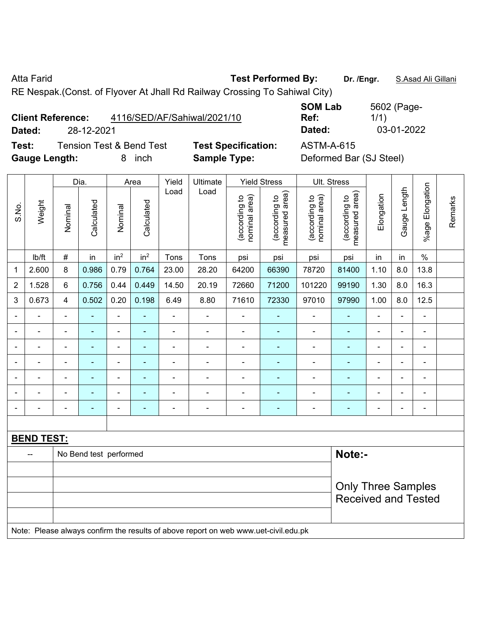Atta Farid **Test Performed By:** Dr. /Engr. **S.Asad Ali Gillani** Cillani

RE Nespak.(Const. of Flyover At Jhall Rd Railway Crossing To Sahiwal City)

| <b>Client Reference:</b> | 4116/SED/AF/Sahiwal/2021/10 | Ref:   | 1/1)       |
|--------------------------|-----------------------------|--------|------------|
| Dated:                   | 28-12-2021                  | Dated: | 03-01-2022 |

**Test:** Tension Test & Bend Test **Test Specification:** ASTM-A-615 **Gauge Length:** 8 inch **Sample Type:** Deformed Bar (SJ Steel)

**SOM Lab Ref:**  5602 (Page-1/1)

|                |                   |                          | Dia.           |                              | Area                     | Yield          | Ultimate       |                                | <b>Yield Stress</b>             | Ult. Stress                    |                                 |                |                          |                          |         |
|----------------|-------------------|--------------------------|----------------|------------------------------|--------------------------|----------------|----------------|--------------------------------|---------------------------------|--------------------------------|---------------------------------|----------------|--------------------------|--------------------------|---------|
| S.No.          | Weight            | Nominal                  | Calculated     | Nominal                      | Calculated               | Load           | Load           | nominal area)<br>(according to | measured area)<br>(according to | nominal area)<br>(according to | measured area)<br>(according to | Elongation     | Gauge Length             | %age Elongation          | Remarks |
|                | lb/ft             | $\#$                     | in             | in <sup>2</sup>              | in <sup>2</sup>          | Tons           | Tons           | psi                            | psi                             | psi                            | psi                             | in             | in                       | $\frac{0}{0}$            |         |
| 1              | 2.600             | 8                        | 0.986          | 0.79                         | 0.764                    | 23.00          | 28.20          | 64200                          | 66390                           | 78720                          | 81400                           | 1.10           | 8.0                      | 13.8                     |         |
| $\overline{2}$ | 1.528             | 6                        | 0.756          | 0.44                         | 0.449                    | 14.50          | 20.19          | 72660                          | 71200                           | 101220                         | 99190                           | 1.30           | 8.0                      | 16.3                     |         |
| 3              | 0.673             | $\overline{4}$           | 0.502          | 0.20                         | 0.198                    | 6.49           | 8.80           | 71610                          | 72330                           | 97010                          | 97990                           | 1.00           | 8.0                      | 12.5                     |         |
| $\blacksquare$ |                   | $\blacksquare$           | $\blacksquare$ | $\blacksquare$               | $\blacksquare$           | $\blacksquare$ |                | $\blacksquare$                 | $\blacksquare$                  | $\blacksquare$                 | $\blacksquare$                  |                | $\blacksquare$           | ÷,                       |         |
| ۰              |                   | ٠                        | ۰              | ۰                            | ۰                        |                |                | $\blacksquare$                 | $\blacksquare$                  | $\blacksquare$                 | $\blacksquare$                  |                |                          | $\blacksquare$           |         |
| $\blacksquare$ |                   | $\blacksquare$           | ۰              | ۰                            | $\overline{\phantom{0}}$ |                |                | $\blacksquare$                 | ٠                               | $\blacksquare$                 | $\blacksquare$                  | $\blacksquare$ | $\blacksquare$           | $\blacksquare$           |         |
| $\blacksquare$ |                   | $\blacksquare$           | $\blacksquare$ | $\blacksquare$               | ۰                        | $\blacksquare$ |                | $\overline{\phantom{0}}$       | ٠                               | $\blacksquare$                 | $\blacksquare$                  |                | $\overline{\phantom{a}}$ | $\blacksquare$           |         |
| ۰              |                   | $\blacksquare$           | ۰              | $\overline{\phantom{a}}$     | $\overline{\phantom{0}}$ |                |                | $\blacksquare$                 | $\blacksquare$                  | ۰                              | ۰                               |                | ٠                        | $\blacksquare$           |         |
| ۰              |                   |                          | -              | $\blacksquare$               | ۰                        |                |                | $\blacksquare$                 |                                 |                                |                                 |                |                          | $\overline{\phantom{0}}$ |         |
| $\blacksquare$ |                   | $\overline{\phantom{0}}$ | ٠              | $\qquad \qquad \blacksquare$ | ٠                        | $\blacksquare$ | $\blacksquare$ | $\blacksquare$                 | $\blacksquare$                  | $\overline{\phantom{a}}$       | $\blacksquare$                  | $\blacksquare$ | $\blacksquare$           | $\blacksquare$           |         |
|                |                   |                          |                |                              |                          |                |                |                                |                                 |                                |                                 |                |                          |                          |         |
|                | <b>BEND TEST:</b> |                          |                |                              |                          |                |                |                                |                                 |                                |                                 |                |                          |                          |         |
|                | $- -$             | No Bend test performed   |                |                              |                          |                |                |                                |                                 |                                |                                 | Note:-         |                          |                          |         |
|                |                   |                          |                |                              |                          |                |                |                                |                                 |                                |                                 |                |                          |                          |         |
|                |                   |                          |                |                              |                          |                |                |                                |                                 |                                | <b>Only Three Samples</b>       |                |                          |                          |         |
|                |                   |                          |                |                              |                          |                |                |                                |                                 |                                | <b>Received and Tested</b>      |                |                          |                          |         |
|                |                   |                          |                |                              |                          |                |                |                                |                                 |                                |                                 |                |                          |                          |         |

Note: Please always confirm the results of above report on web www.uet-civil.edu.pk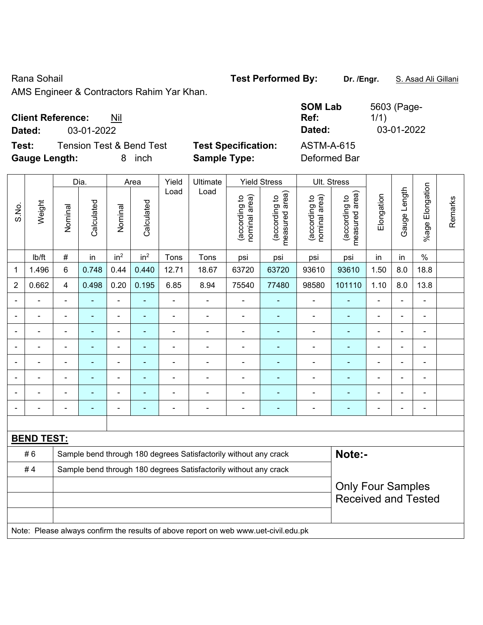Rana Sohail **Test Performed By: Dr. /Engr.** S. Asad Ali Gillani

AMS Engineer & Contractors Rahim Yar Khan.

| <b>Client Reference:</b> | Nil |
|--------------------------|-----|
|--------------------------|-----|

**Dated:** 03-01-2022 **Dated:** 03-01-2022

**Test:** Tension Test & Bend Test **Test Specification: Gauge Length:** 8 inch **Sample Type:** Deformed Bar

| <b>SOM Lab</b>                            | 5603 (Page- |
|-------------------------------------------|-------------|
| Ref:                                      | 1/1)        |
| Dated:                                    | 03-01-2022  |
| <b>ASTM-A-615</b><br>n - f -  - - - 1 n - |             |

|                |                   |                                                                  | Dia.           |                          | Area            | Yield          | Ultimate                                                                            |                                | <b>Yield Stress</b>                         |                                | Ult. Stress                                            |                |                |                              |         |
|----------------|-------------------|------------------------------------------------------------------|----------------|--------------------------|-----------------|----------------|-------------------------------------------------------------------------------------|--------------------------------|---------------------------------------------|--------------------------------|--------------------------------------------------------|----------------|----------------|------------------------------|---------|
| S.No.          | Weight            | Nominal                                                          | Calculated     | Nominal                  | Calculated      | Load           | Load                                                                                | (according to<br>nominal area) | (according to<br>measured area)<br>measured | (according to<br>nominal area) | (according to<br>measured area)                        | Elongation     | Gauge Length   | Elongation<br>$%$ age        | Remarks |
|                | Ib/ft             | $\#$                                                             | in             | in <sup>2</sup>          | in <sup>2</sup> | Tons           | Tons                                                                                | psi                            | psi                                         | psi                            | psi                                                    | in             | in             | $\%$                         |         |
| 1              | 1.496             | 6                                                                | 0.748          | 0.44                     | 0.440           | 12.71          | 18.67                                                                               | 63720                          | 63720                                       | 93610                          | 93610                                                  | 1.50           | 8.0            | 18.8                         |         |
| $\overline{2}$ | 0.662             | $\overline{4}$                                                   | 0.498          | 0.20                     | 0.195           | 6.85           | 8.94                                                                                | 75540                          | 77480                                       | 98580                          | 101110                                                 | 1.10           | 8.0            | 13.8                         |         |
| $\blacksquare$ | ÷,                | $\overline{\phantom{a}}$                                         | $\blacksquare$ | $\frac{1}{2}$            | $\blacksquare$  |                | $\blacksquare$                                                                      | $\blacksquare$                 | ٠                                           | $\blacksquare$                 | ÷                                                      | $\blacksquare$ | $\blacksquare$ | $\qquad \qquad \blacksquare$ |         |
|                | $\blacksquare$    |                                                                  | $\blacksquare$ | $\blacksquare$           | ٠               | ä,             | ä,                                                                                  | ä,                             | ÷,                                          | $\blacksquare$                 | ä,                                                     | $\blacksquare$ |                | $\frac{1}{2}$                |         |
|                | ä,                |                                                                  | $\blacksquare$ | $\overline{\phantom{a}}$ | ×,              | ä,             | $\blacksquare$                                                                      | $\blacksquare$                 | $\blacksquare$                              | $\overline{\phantom{a}}$       | $\blacksquare$                                         | $\blacksquare$ |                | $\blacksquare$               |         |
|                |                   |                                                                  | $\blacksquare$ | $\blacksquare$           | ٠               |                | L,                                                                                  | $\blacksquare$                 | ٠                                           | $\blacksquare$                 |                                                        |                |                | $\overline{a}$               |         |
|                |                   |                                                                  |                | ä,                       |                 | $\blacksquare$ | $\blacksquare$                                                                      |                                |                                             | $\blacksquare$                 | $\blacksquare$                                         | $\blacksquare$ |                | $\blacksquare$               |         |
| $\blacksquare$ | ÷                 | $\blacksquare$                                                   | $\blacksquare$ | $\overline{\phantom{0}}$ | $\blacksquare$  | ä,             | $\blacksquare$                                                                      | $\blacksquare$                 | $\blacksquare$                              | $\blacksquare$                 | $\blacksquare$                                         | $\blacksquare$ | $\blacksquare$ | $\blacksquare$               |         |
|                |                   |                                                                  | $\blacksquare$ | $\blacksquare$           |                 |                | $\overline{a}$                                                                      | $\blacksquare$                 | $\overline{\phantom{0}}$                    | $\overline{\phantom{0}}$       | $\blacksquare$                                         |                |                | $\blacksquare$               |         |
|                | ÷                 |                                                                  | $\blacksquare$ | $\blacksquare$           | ٠               | ÷              | $\blacksquare$                                                                      | $\blacksquare$                 | $\blacksquare$                              | $\blacksquare$                 | ٠                                                      | $\blacksquare$ |                | $\blacksquare$               |         |
|                |                   |                                                                  |                |                          |                 |                |                                                                                     |                                |                                             |                                |                                                        |                |                |                              |         |
|                | <b>BEND TEST:</b> |                                                                  |                |                          |                 |                |                                                                                     |                                |                                             |                                |                                                        |                |                |                              |         |
|                | #6                |                                                                  |                |                          |                 |                | Sample bend through 180 degrees Satisfactorily without any crack                    |                                |                                             |                                | Note:-                                                 |                |                |                              |         |
|                | #4                | Sample bend through 180 degrees Satisfactorily without any crack |                |                          |                 |                |                                                                                     |                                |                                             |                                |                                                        |                |                |                              |         |
|                |                   |                                                                  |                |                          |                 |                |                                                                                     |                                |                                             |                                | <b>Only Four Samples</b><br><b>Received and Tested</b> |                |                |                              |         |
|                |                   |                                                                  |                |                          |                 |                | Note: Please always confirm the results of above report on web www.uet-civil.edu.pk |                                |                                             |                                |                                                        |                |                |                              |         |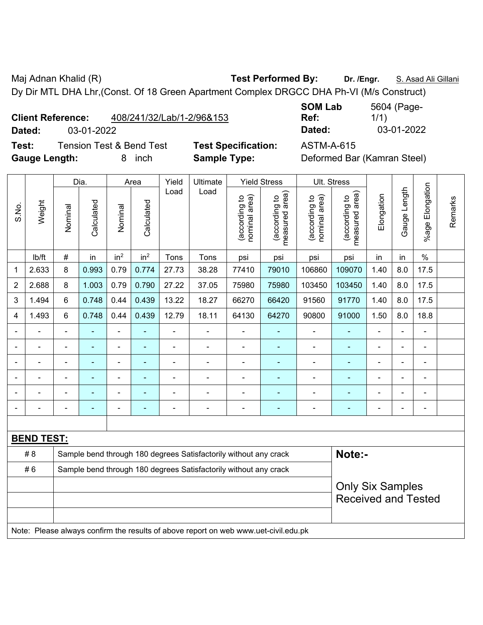Maj Adnan Khalid (R) **Test Performed By:** Dr. /Engr. **S. Asad Ali Gillani** Ali Gillani

Dy Dir MTL DHA Lhr,(Const. Of 18 Green Apartment Complex DRGCC DHA Ph-VI (M/s Construct)

**Client Reference:** 408/241/32/Lab/1-2/96&153

**Test:** Tension Test & Bend Test **Test Specification:** ASTM-A-615 **Gauge Length:** 8 inch **Sample Type:** Deformed Bar (Kamran Steel)

**SOM Lab Ref:**  5604 (Page-1/1) **Dated:** 03-01-2022 **Dated:** 03-01-2022

|                |                   |                | Dia.           |                              | Area                     | Yield          | Ultimate                                                                            |                                | <b>Yield Stress</b>             | Ult. Stress                    |                                 |                |                |                          |         |
|----------------|-------------------|----------------|----------------|------------------------------|--------------------------|----------------|-------------------------------------------------------------------------------------|--------------------------------|---------------------------------|--------------------------------|---------------------------------|----------------|----------------|--------------------------|---------|
| S.No.          | Weight            | Nominal        | Calculated     | Nominal                      | Calculated               | Load           | Load                                                                                | nominal area)<br>(according to | (according to<br>measured area) | nominal area)<br>(according to | measured area)<br>(according to | Elongation     | Gauge Length   | %age Elongation          | Remarks |
|                | lb/ft             | #              | in             | in <sup>2</sup>              | in <sup>2</sup>          | Tons           | Tons                                                                                | psi                            | psi                             | psi                            | psi                             | in             | in             | $\%$                     |         |
| 1              | 2.633             | 8              | 0.993          | 0.79                         | 0.774                    | 27.73          | 38.28                                                                               | 77410                          | 79010                           | 106860                         | 109070                          | 1.40           | 8.0            | 17.5                     |         |
| $\overline{2}$ | 2.688             | 8              | 1.003          | 0.79                         | 0.790                    | 27.22          | 37.05                                                                               | 75980                          | 75980                           | 103450                         | 103450                          | 1.40           | 8.0            | 17.5                     |         |
| 3              | 1.494             | 6              | 0.748          | 0.44                         | 0.439                    | 13.22          | 18.27                                                                               | 66270                          | 66420                           | 91560                          | 91770                           | 1.40           | 8.0            | 17.5                     |         |
| 4              | 1.493             | 6              | 0.748          | 0.44                         | 0.439                    | 12.79          | 18.11                                                                               | 64130                          | 64270                           | 90800                          | 91000                           | 1.50           | 8.0            | 18.8                     |         |
|                | $\blacksquare$    | $\blacksquare$ |                | $\blacksquare$               |                          | $\blacksquare$ |                                                                                     | $\blacksquare$                 | ۰                               | $\blacksquare$                 | ۰                               | $\blacksquare$ | $\blacksquare$ | $\blacksquare$           |         |
|                |                   |                | $\blacksquare$ | $\blacksquare$               | $\overline{\phantom{0}}$ | $\blacksquare$ | $\blacksquare$                                                                      | $\overline{\phantom{0}}$       | ۰                               | $\overline{\phantom{0}}$       | ۰                               | ٠              | ÷              | $\overline{\phantom{a}}$ |         |
|                | $\blacksquare$    | $\blacksquare$ | $\blacksquare$ | $\qquad \qquad \blacksquare$ | $\blacksquare$           | $\blacksquare$ | $\blacksquare$                                                                      | $\blacksquare$                 | ÷                               | $\blacksquare$                 | ۰                               | $\blacksquare$ | ä,             | $\blacksquare$           |         |
|                |                   |                |                | $\blacksquare$               |                          |                |                                                                                     |                                |                                 |                                | ۰                               |                | ÷              | Ē,                       |         |
|                |                   |                |                |                              |                          |                |                                                                                     |                                |                                 |                                | ۰                               |                |                |                          |         |
|                |                   |                |                |                              |                          |                |                                                                                     | $\blacksquare$                 |                                 |                                |                                 | ۰              | $\overline{a}$ | $\blacksquare$           |         |
|                |                   |                |                |                              |                          |                |                                                                                     |                                |                                 |                                |                                 |                |                |                          |         |
|                | <b>BEND TEST:</b> |                |                |                              |                          |                |                                                                                     |                                |                                 |                                |                                 |                |                |                          |         |
|                | # 8               |                |                |                              |                          |                | Sample bend through 180 degrees Satisfactorily without any crack                    |                                |                                 |                                | Note:-                          |                |                |                          |         |
|                | #6                |                |                |                              |                          |                | Sample bend through 180 degrees Satisfactorily without any crack                    |                                |                                 |                                |                                 |                |                |                          |         |
|                |                   |                |                |                              | <b>Only Six Samples</b>  |                |                                                                                     |                                |                                 |                                |                                 |                |                |                          |         |
|                |                   |                |                |                              |                          |                |                                                                                     |                                |                                 |                                | <b>Received and Tested</b>      |                |                |                          |         |
|                |                   |                |                |                              |                          |                |                                                                                     |                                |                                 |                                |                                 |                |                |                          |         |
|                |                   |                |                |                              |                          |                | Note: Please always confirm the results of above report on web www.uet-civil.edu.pk |                                |                                 |                                |                                 |                |                |                          |         |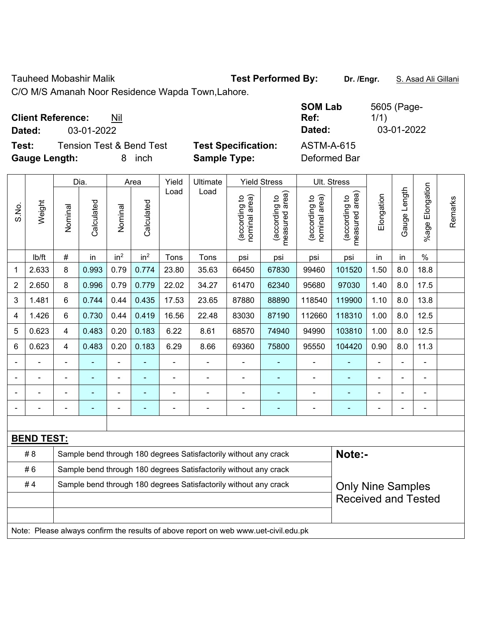Tauheed Mobashir Malik **Test Performed By:** Dr. /Engr. **S. Asad Ali Gillani** 

C/O M/S Amanah Noor Residence Wapda Town,Lahore.

| <b>Client Reference:</b> | Nil        | Ref:   | 1/1        |
|--------------------------|------------|--------|------------|
| Dated:                   | 03-01-2022 | Dated: | 03-01-2022 |

**Test:** Tension Test & Bend Test **Test Specification: Gauge Length:** 8 inch **Sample Type:** Deformed Bar

| <b>SOM Lab</b><br>Ref: | 5605 (Page-<br>1/1) |
|------------------------|---------------------|
| Dated:                 | 03-01-2022          |
| ASTM-A-615             |                     |

|       |                   |                                                                  | Dia.       |                          | Area            | Yield          | Ultimate                                                                            |                                | <b>Yield Stress</b>                         |                                | Ult. Stress                     |            |                |                          |         |
|-------|-------------------|------------------------------------------------------------------|------------|--------------------------|-----------------|----------------|-------------------------------------------------------------------------------------|--------------------------------|---------------------------------------------|--------------------------------|---------------------------------|------------|----------------|--------------------------|---------|
| S.No. | Weight            | Nominal                                                          | Calculated | Nominal                  | Calculated      | Load           | Load                                                                                | nominal area)<br>(according to | (according to<br>neasured area)<br>measured | nominal area)<br>(according to | measured area)<br>(according to | Elongation | Gauge Length   | Elongation<br>%age l     | Remarks |
|       | Ib/ft             | #                                                                | in         | in <sup>2</sup>          | in <sup>2</sup> | Tons           | Tons                                                                                | psi                            | psi                                         | psi                            | psi                             | in         | in             | $\%$                     |         |
| 1     | 2.633             | 8                                                                | 0.993      | 0.79                     | 0.774           | 23.80          | 35.63                                                                               | 66450                          | 67830                                       | 99460                          | 101520                          | 1.50       | 8.0            | 18.8                     |         |
| 2     | 2.650             | 8                                                                | 0.996      | 0.79                     | 0.779           | 22.02          | 34.27                                                                               | 61470                          | 62340                                       | 95680                          | 97030                           | 1.40       | 8.0            | 17.5                     |         |
| 3     | 1.481             | 6                                                                | 0.744      | 0.44                     | 0.435           | 17.53          | 23.65                                                                               | 87880                          | 88890                                       | 118540                         | 119900                          | 1.10       | 8.0            | 13.8                     |         |
| 4     | 1.426             | 6                                                                | 0.730      | 0.44                     | 0.419           | 16.56          | 22.48                                                                               | 83030                          | 87190                                       | 112660                         | 118310                          | 1.00       | 8.0            | 12.5                     |         |
| 5     | 0.623             | $\overline{4}$                                                   | 0.483      | 0.20                     | 0.183           | 6.22           | 8.61                                                                                | 68570                          | 74940                                       | 94990                          | 103810                          | 1.00       | 8.0            | 12.5                     |         |
| 6     | 0.623             | $\overline{4}$                                                   | 0.483      | 0.20                     | 0.183           | 6.29           | 8.66                                                                                | 69360                          | 75800                                       | 95550                          | 104420                          | 0.90       | 8.0            | 11.3                     |         |
|       |                   |                                                                  |            |                          |                 | $\blacksquare$ | ä,                                                                                  |                                |                                             | $\blacksquare$                 |                                 | ÷,         |                | L,                       |         |
|       | $\blacksquare$    | $\blacksquare$                                                   | ä,         | $\overline{\phantom{0}}$ | $\blacksquare$  | $\blacksquare$ | $\frac{1}{2}$                                                                       | $\blacksquare$                 | $\overline{\phantom{0}}$                    | $\blacksquare$                 |                                 | ÷,         | $\blacksquare$ |                          |         |
|       |                   |                                                                  | ۰          | -                        |                 |                | $\overline{a}$                                                                      |                                | $\overline{\phantom{0}}$                    | $\blacksquare$                 | $\overline{\phantom{0}}$        | ä,         |                | -                        |         |
|       |                   |                                                                  | ÷          | ÷                        | ÷               | $\blacksquare$ | ä,                                                                                  | $\blacksquare$                 | ٠                                           | $\blacksquare$                 | ٠                               | ÷,         |                | $\overline{\phantom{a}}$ |         |
|       |                   |                                                                  |            |                          |                 |                |                                                                                     |                                |                                             |                                |                                 |            |                |                          |         |
|       | <b>BEND TEST:</b> |                                                                  |            |                          |                 |                |                                                                                     |                                |                                             |                                |                                 |            |                |                          |         |
|       | #8                |                                                                  |            |                          |                 |                | Sample bend through 180 degrees Satisfactorily without any crack                    |                                |                                             |                                | Note:-                          |            |                |                          |         |
|       | #6                |                                                                  |            |                          |                 |                | Sample bend through 180 degrees Satisfactorily without any crack                    |                                |                                             |                                |                                 |            |                |                          |         |
|       | #4                | Sample bend through 180 degrees Satisfactorily without any crack |            |                          |                 |                |                                                                                     |                                |                                             |                                | <b>Only Nine Samples</b>        |            |                |                          |         |
|       |                   |                                                                  |            |                          |                 |                |                                                                                     |                                |                                             |                                | <b>Received and Tested</b>      |            |                |                          |         |
|       |                   |                                                                  |            |                          |                 |                |                                                                                     |                                |                                             |                                |                                 |            |                |                          |         |
|       |                   |                                                                  |            |                          |                 |                | Note: Please always confirm the results of above report on web www.uet-civil.edu.pk |                                |                                             |                                |                                 |            |                |                          |         |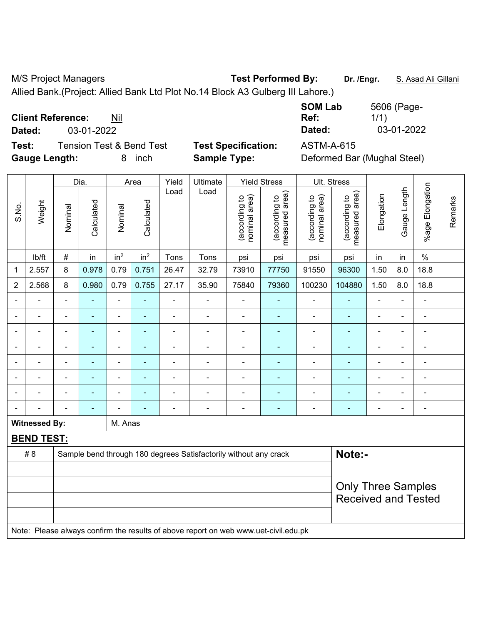M/S Project Managers **Test Performed By:** Dr. /Engr. **S. Asad Ali Gillani** Alli Billani

Allied Bank.(Project: Allied Bank Ltd Plot No.14 Block A3 Gulberg III Lahore.)

**Client Reference:** Nil

**Test:** Tension Test & Bend Test **Test Specification:** ASTM-A-615 **Gauge Length:** 8 inch **Sample Type:** Deformed Bar (Mughal Steel)

**SOM Lab Ref:**  5606 (Page-1/1) **Dated:** 03-01-2022 **Dated:** 03-01-2022

|                |                      |                            | Dia.       |                              | Area            | Yield          | Ultimate                                                                            |                                | <b>Yield Stress</b>             |                                | Ult. Stress                     |                |                |                          |         |
|----------------|----------------------|----------------------------|------------|------------------------------|-----------------|----------------|-------------------------------------------------------------------------------------|--------------------------------|---------------------------------|--------------------------------|---------------------------------|----------------|----------------|--------------------------|---------|
| S.No.          | Weight               | Nominal                    | Calculated | Nominal                      | Calculated      | Load           | Load                                                                                | nominal area)<br>(according to | measured area)<br>(according to | nominal area)<br>(according to | measured area)<br>(according to | Elongation     | Gauge Length   | %age Elongation          | Remarks |
|                | Ib/ft                | $\#$                       | in         | in <sup>2</sup>              | in <sup>2</sup> | Tons           | Tons                                                                                | psi                            | psi                             | psi                            | psi                             | in             | in             | $\%$                     |         |
| 1              | 2.557                | 8                          | 0.978      | 0.79                         | 0.751           | 26.47          | 32.79                                                                               | 73910                          | 77750                           | 91550                          | 96300                           | 1.50           | 8.0            | 18.8                     |         |
| $\overline{2}$ | 2.568                | 8                          | 0.980      | 0.79                         | 0.755           | 27.17          | 35.90                                                                               | 75840                          | 79360                           | 100230                         | 104880                          | 1.50           | 8.0            | 18.8                     |         |
|                |                      |                            |            | $\blacksquare$               | ÷,              | $\blacksquare$ | $\blacksquare$                                                                      | ä,                             | ٠                               | ä,                             | $\blacksquare$                  |                |                | $\blacksquare$           |         |
|                |                      |                            |            | $\blacksquare$               |                 |                | ÷                                                                                   | $\blacksquare$                 | ÷                               | ä,                             | ٠                               | $\blacksquare$ |                | $\overline{\phantom{0}}$ |         |
|                |                      | Ē,                         | ۰          | ۰                            | ۰               | Ē,             | ÷                                                                                   | ä,                             | ۰                               | $\blacksquare$                 |                                 | $\blacksquare$ | $\blacksquare$ |                          |         |
|                |                      | Ē,                         | ä,         | $\qquad \qquad \blacksquare$ | ۰               | Ē,             | $\blacksquare$                                                                      | $\overline{\phantom{a}}$       | ۰                               | $\blacksquare$                 | ÷                               | ÷,             | $\blacksquare$ | $\overline{\phantom{a}}$ |         |
|                |                      | Ē,                         | ä,         | $\qquad \qquad \blacksquare$ | $\blacksquare$  | ÷              | $\overline{a}$                                                                      | $\overline{\phantom{a}}$       | ÷                               | -                              | ÷                               | ÷,             | ÷,             | $\blacksquare$           |         |
|                | $\blacksquare$       | Ē,                         | ä,         | ÷,                           | ÷               | $\blacksquare$ | ÷                                                                                   |                                | ۰                               | -                              | ÷                               | ÷              | $\blacksquare$ |                          |         |
|                |                      |                            |            | $\blacksquare$               |                 |                |                                                                                     |                                | ÷                               |                                | $\blacksquare$                  |                |                | $\blacksquare$           |         |
|                |                      |                            |            |                              |                 |                | ÷                                                                                   | -                              | ÷                               | $\blacksquare$                 | ٠                               | $\blacksquare$ |                | $\overline{\phantom{0}}$ |         |
|                | <b>Witnessed By:</b> |                            |            | M. Anas                      |                 |                |                                                                                     |                                |                                 |                                |                                 |                |                |                          |         |
|                | <b>BEND TEST:</b>    |                            |            |                              |                 |                |                                                                                     |                                |                                 |                                |                                 |                |                |                          |         |
|                | # 8                  |                            |            |                              |                 |                | Sample bend through 180 degrees Satisfactorily without any crack                    |                                |                                 |                                | Note:-                          |                |                |                          |         |
|                |                      |                            |            |                              |                 |                |                                                                                     |                                |                                 |                                |                                 |                |                |                          |         |
|                |                      |                            |            |                              |                 |                | <b>Only Three Samples</b>                                                           |                                |                                 |                                |                                 |                |                |                          |         |
|                |                      | <b>Received and Tested</b> |            |                              |                 |                |                                                                                     |                                |                                 |                                |                                 |                |                |                          |         |
|                |                      |                            |            |                              |                 |                |                                                                                     |                                |                                 |                                |                                 |                |                |                          |         |
|                |                      |                            |            |                              |                 |                | Note: Please always confirm the results of above report on web www.uet-civil.edu.pk |                                |                                 |                                |                                 |                |                |                          |         |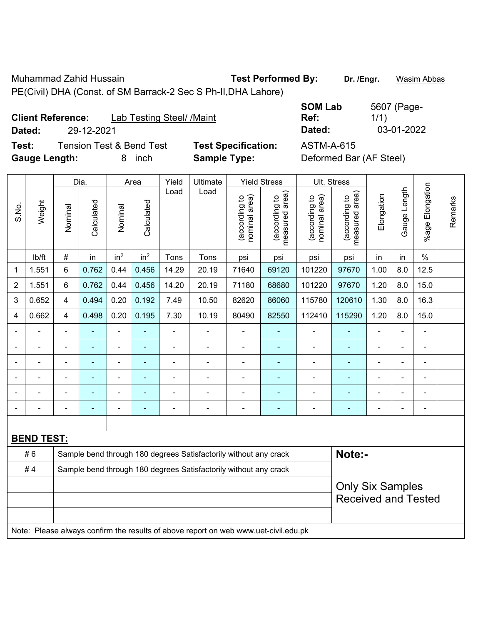Muhammad Zahid Hussain **Test Performed By: Dr. /Engr.** Wasim Abbas

PE(Civil) DHA (Const. of SM Barrack-2 Sec S Ph-II,DHA Lahore)

**Client Reference:** Lab Testing Steel/ /Maint **Dated:** 29-12-2021 **Dated:** 03-01-2022

**Test:** Tension Test & Bend Test **Test Specification:** ASTM-A-615 **Gauge Length:** 8 inch **Sample Type:** Deformed Bar (AF Steel)

| <b>SOM Lab</b> | 5607 (Page- |
|----------------|-------------|
| Ref:           | 1/1)        |
| Dated:         | 03-01-2022  |

|                | Dia.              |                         |                |                 | Area                                                             | Yield                    | Ultimate                                                                            |                                | <b>Yield Stress</b>             |                                | Ult. Stress                     |                |                |                 |         |
|----------------|-------------------|-------------------------|----------------|-----------------|------------------------------------------------------------------|--------------------------|-------------------------------------------------------------------------------------|--------------------------------|---------------------------------|--------------------------------|---------------------------------|----------------|----------------|-----------------|---------|
| S.No.          | Weight            | Nominal                 | Calculated     | Nominal         | Calculated                                                       | Load                     | Load                                                                                | nominal area)<br>(according to | (according to<br>measured area) | (according to<br>nominal area) | measured area)<br>(according to | Elongation     | Gauge Length   | %age Elongation | Remarks |
|                | lb/ft             | #                       | in             | in <sup>2</sup> | in <sup>2</sup>                                                  | Tons                     | Tons                                                                                | psi                            | psi                             | psi                            | psi                             | in             | in             | $\%$            |         |
| 1              | 1.551             | 6                       | 0.762          | 0.44            | 0.456                                                            | 14.29                    | 20.19                                                                               | 71640                          | 69120                           | 101220                         | 97670                           | 1.00           | 8.0            | 12.5            |         |
| $\overline{2}$ | 1.551             | 6                       | 0.762          | 0.44            | 0.456                                                            | 14.20                    | 20.19                                                                               | 71180                          | 68680                           | 101220                         | 97670                           | 1.20           | 8.0            | 15.0            |         |
| 3              | 0.652             | 4                       | 0.494          | 0.20            | 0.192                                                            | 7.49                     | 10.50                                                                               | 82620                          | 86060                           | 115780                         | 120610                          | 1.30           | 8.0            | 16.3            |         |
| 4              | 0.662             | 4                       | 0.498          | 0.20            | 0.195                                                            | 7.30                     | 10.19                                                                               | 80490                          | 82550                           | 112410                         | 115290                          | 1.20           | 8.0            | 15.0            |         |
| $\blacksquare$ | $\blacksquare$    | $\blacksquare$          | ۰              | $\frac{1}{2}$   | $\blacksquare$                                                   | $\blacksquare$           | $\blacksquare$                                                                      | $\overline{\phantom{a}}$       | $\blacksquare$                  | $\overline{\phantom{a}}$       | $\blacksquare$                  | $\blacksquare$ | $\blacksquare$ | $\blacksquare$  |         |
|                | $\blacksquare$    | $\blacksquare$          | $\blacksquare$ | $\blacksquare$  | $\blacksquare$                                                   | $\overline{\phantom{a}}$ | ÷.                                                                                  | $\blacksquare$                 | $\blacksquare$                  | $\blacksquare$                 | ٠                               | $\blacksquare$ | $\blacksquare$ | $\blacksquare$  |         |
|                | $\blacksquare$    | $\blacksquare$          | ÷,             | $\frac{1}{2}$   | ÷                                                                | L,                       | ÷,                                                                                  | $\blacksquare$                 | ٠                               | ä,                             | Ξ                               | $\blacksquare$ |                | ä,              |         |
|                |                   |                         | ۰              | $\blacksquare$  |                                                                  | L,                       | ÷                                                                                   | ä,                             | ÷                               | $\blacksquare$                 |                                 |                |                | $\blacksquare$  |         |
|                |                   |                         |                | ÷               |                                                                  |                          |                                                                                     |                                | $\blacksquare$                  |                                |                                 |                |                |                 |         |
|                |                   | $\blacksquare$          | ۰              | -               | $\blacksquare$                                                   | ä,                       | $\overline{\phantom{0}}$                                                            | $\blacksquare$                 | ۰                               | $\blacksquare$                 | ۰                               | $\blacksquare$ |                | $\blacksquare$  |         |
|                |                   |                         |                |                 |                                                                  |                          |                                                                                     |                                |                                 |                                |                                 |                |                |                 |         |
|                | <b>BEND TEST:</b> |                         |                |                 |                                                                  |                          |                                                                                     |                                |                                 |                                |                                 |                |                |                 |         |
|                | #6                |                         |                |                 |                                                                  |                          | Sample bend through 180 degrees Satisfactorily without any crack                    |                                |                                 |                                | Note:-                          |                |                |                 |         |
|                | #4                |                         |                |                 | Sample bend through 180 degrees Satisfactorily without any crack |                          |                                                                                     |                                |                                 |                                |                                 |                |                |                 |         |
|                |                   | <b>Only Six Samples</b> |                |                 |                                                                  |                          |                                                                                     |                                |                                 |                                |                                 |                |                |                 |         |
|                |                   |                         |                |                 |                                                                  |                          |                                                                                     |                                |                                 |                                | <b>Received and Tested</b>      |                |                |                 |         |
|                |                   |                         |                |                 |                                                                  |                          |                                                                                     |                                |                                 |                                |                                 |                |                |                 |         |
|                |                   |                         |                |                 |                                                                  |                          | Note: Please always confirm the results of above report on web www.uet-civil.edu.pk |                                |                                 |                                |                                 |                |                |                 |         |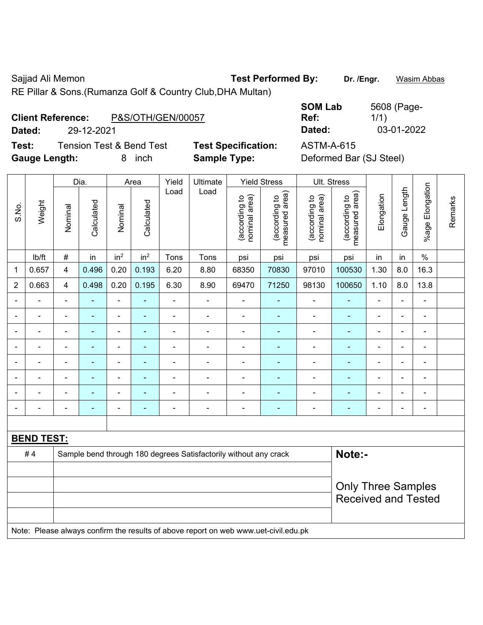Sajjad Ali Memon **Test Performed By:** Dr. /Engr. **Wasim Abbas Calcular Action** 

RE Pillar & Sons.(Rumanza Golf & Country Club,DHA Multan)

| <b>Client Reference:</b> | P&S/OTH/GEN/00057 |
|--------------------------|-------------------|
|                          |                   |

**Test:** Tension Test & Bend Test **Test Specification:** ASTM-A-615 **Gauge Length:** 8 inch **Sample Type:** Deformed Bar (SJ Steel)

**SOM Lab Ref:**  5608 (Page-1/1) **Dated:** 29-12-2021 **Dated:** 03-01-2022

|                |                   |                | Dia.                     |                              | Area                     | Yield          | Ultimate                                                                            |                                                         | <b>Yield Stress</b>             |                                | Ult. Stress                     |                          |                |                          |         |
|----------------|-------------------|----------------|--------------------------|------------------------------|--------------------------|----------------|-------------------------------------------------------------------------------------|---------------------------------------------------------|---------------------------------|--------------------------------|---------------------------------|--------------------------|----------------|--------------------------|---------|
| S.No.          | Weight            | Nominal        | Calculated               | Nominal                      | Calculated               | Load           | Load                                                                                | nominal area)<br>(according to                          | (according to<br>measured area) | nominal area)<br>(according to | (according to<br>measured area) | Elongation               | Gauge Length   | %age Elongation          | Remarks |
|                | Ib/ft             | $\#$           | in                       | in <sup>2</sup>              | in <sup>2</sup>          | Tons           | Tons                                                                                | psi                                                     | psi                             | psi                            | psi                             | in                       | in             | $\%$                     |         |
| $\mathbf 1$    | 0.657             | $\overline{4}$ | 0.496                    | 0.20                         | 0.193                    | 6.20           | 8.80                                                                                | 68350                                                   | 70830                           | 97010                          | 100530                          | 1.30                     | 8.0            | 16.3                     |         |
| $\overline{2}$ | 0.663             | $\overline{4}$ | 0.498                    | 0.20                         | 0.195                    | 6.30           | 8.90                                                                                | 69470                                                   | 71250                           | 98130                          | 100650                          | 1.10                     | 8.0            | 13.8                     |         |
| $\blacksquare$ | ä,                | $\blacksquare$ | ÷,                       | ÷,                           | ä,                       | $\blacksquare$ | ÷,                                                                                  | $\blacksquare$                                          | ٠                               | $\blacksquare$                 | $\blacksquare$                  | $\blacksquare$           | ä,             | $\blacksquare$           |         |
|                | ä,                | $\blacksquare$ | ä,                       | $\qquad \qquad \blacksquare$ | ÷                        | $\blacksquare$ | ÷,                                                                                  | $\overline{\phantom{a}}$                                | ٠                               | $\blacksquare$                 | $\blacksquare$                  | Ē,                       | $\blacksquare$ | $\blacksquare$           |         |
|                | $\blacksquare$    | $\blacksquare$ | ÷,                       | ÷,                           | $\blacksquare$           | $\blacksquare$ | $\blacksquare$                                                                      | $\overline{\phantom{a}}$                                | ÷                               | $\blacksquare$                 | $\blacksquare$                  | $\blacksquare$           | ÷.             | $\blacksquare$           |         |
|                |                   | $\blacksquare$ | $\blacksquare$           | $\blacksquare$               | ٠                        |                |                                                                                     | $\blacksquare$                                          | $\blacksquare$                  | $\overline{\phantom{a}}$       | ÷,                              |                          | $\blacksquare$ | $\blacksquare$           |         |
|                |                   |                | $\blacksquare$           | $\blacksquare$               |                          |                |                                                                                     | $\overline{\phantom{a}}$                                | $\blacksquare$                  | ۰                              | ۰                               |                          | $\blacksquare$ | $\blacksquare$           |         |
|                |                   | $\blacksquare$ |                          | $\blacksquare$               |                          | $\blacksquare$ |                                                                                     | $\overline{a}$                                          | $\blacksquare$                  | ÷                              |                                 | $\overline{\phantom{0}}$ | $\blacksquare$ | $\blacksquare$           |         |
|                |                   | $\blacksquare$ | ä,                       | $\blacksquare$               |                          |                |                                                                                     | $\overline{a}$                                          | $\blacksquare$                  | -                              | ä,                              | Ē,                       | ÷,             | $\blacksquare$           |         |
|                |                   | $\blacksquare$ | $\overline{\phantom{0}}$ | $\overline{\phantom{0}}$     | $\overline{\phantom{0}}$ | $\blacksquare$ | $\blacksquare$                                                                      | $\blacksquare$                                          | $\overline{\phantom{0}}$        | $\overline{\phantom{a}}$       | $\blacksquare$                  | $\blacksquare$           | $\frac{1}{2}$  | $\overline{\phantom{a}}$ |         |
|                |                   |                |                          |                              |                          |                |                                                                                     |                                                         |                                 |                                |                                 |                          |                |                          |         |
|                | <b>BEND TEST:</b> |                |                          |                              |                          |                |                                                                                     |                                                         |                                 |                                |                                 |                          |                |                          |         |
|                | #4                |                |                          |                              |                          |                | Sample bend through 180 degrees Satisfactorily without any crack                    |                                                         |                                 |                                | Note:-                          |                          |                |                          |         |
|                |                   |                |                          |                              |                          |                |                                                                                     |                                                         |                                 |                                |                                 |                          |                |                          |         |
|                |                   |                |                          |                              |                          |                |                                                                                     | <b>Only Three Samples</b><br><b>Received and Tested</b> |                                 |                                |                                 |                          |                |                          |         |
|                |                   |                |                          |                              |                          |                |                                                                                     |                                                         |                                 |                                |                                 |                          |                |                          |         |
|                |                   |                |                          |                              |                          |                | Note: Please always confirm the results of above report on web www.uet-civil.edu.pk |                                                         |                                 |                                |                                 |                          |                |                          |         |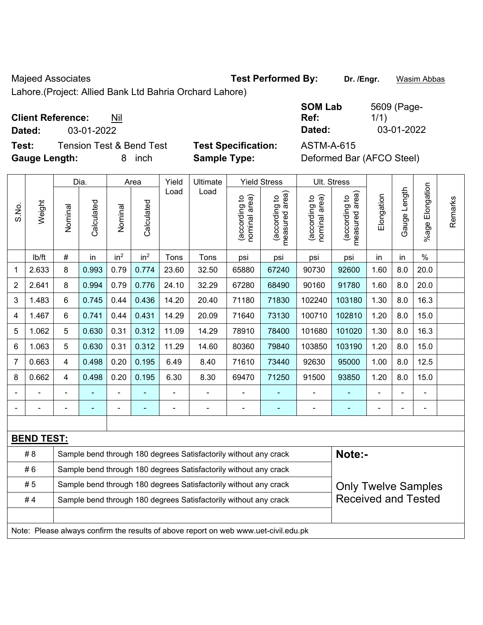Majeed Associates **Test Performed By:** Dr. /Engr. **Wasim Abbas** 

Lahore.(Project: Allied Bank Ltd Bahria Orchard Lahore)

## **Client Reference:** Nil

**Dated:** 03-01-2022 **Dated:** 03-01-2022

**Test:** Tension Test & Bend Test **Test Specification:** ASTM-A-615 **Gauge Length:** 8 inch **Sample Type:** Deformed Bar (AFCO Steel)

| <b>SOM Lab</b> | 5609 (Page- |
|----------------|-------------|
| Ref:           | 1/1)        |
| Dated:         | 03-01-2022  |

|                |                   |                                                                                                | Dia.           |                 | Area            | Yield | Ultimate                                                                            |                                | <b>Yield Stress</b>             |                                | Ult. Stress                     |                |              |                          |         |
|----------------|-------------------|------------------------------------------------------------------------------------------------|----------------|-----------------|-----------------|-------|-------------------------------------------------------------------------------------|--------------------------------|---------------------------------|--------------------------------|---------------------------------|----------------|--------------|--------------------------|---------|
| S.No.          | Weight            | Nominal                                                                                        | Calculated     | Nominal         | Calculated      | Load  | Load                                                                                | nominal area)<br>(according to | (according to<br>measured area) | nominal area)<br>(according to | (according to<br>measured area) | Elongation     | Gauge Length | Elongation<br>$%$ age    | Remarks |
|                | lb/ft             | $\#$                                                                                           | in             | in <sup>2</sup> | in <sup>2</sup> | Tons  | Tons                                                                                | psi                            | psi                             | psi                            | psi                             | in             | in           | $\%$                     |         |
| 1              | 2.633             | 8                                                                                              | 0.993          | 0.79            | 0.774           | 23.60 | 32.50                                                                               | 65880                          | 67240                           | 90730                          | 92600                           | 1.60           | 8.0          | 20.0                     |         |
| $\overline{2}$ | 2.641             | 8                                                                                              | 0.994          | 0.79            | 0.776           | 24.10 | 32.29                                                                               | 67280                          | 68490                           | 90160                          | 91780                           | 1.60           | 8.0          | 20.0                     |         |
| 3              | 1.483             | 6                                                                                              | 0.745          | 0.44            | 0.436           | 14.20 | 20.40                                                                               | 71180                          | 71830                           | 102240                         | 103180                          | 1.30           | 8.0          | 16.3                     |         |
| 4              | 1.467             | 6                                                                                              | 0.741          | 0.44            | 0.431           | 14.29 | 20.09                                                                               | 71640                          | 73130                           | 100710                         | 102810                          | 1.20           | 8.0          | 15.0                     |         |
| 5              | 1.062             | 5                                                                                              | 0.630          | 0.31            | 0.312           | 11.09 | 14.29                                                                               | 78910                          | 78400                           | 101680                         | 101020                          | 1.30           | 8.0          | 16.3                     |         |
| 6              | 1.063             | 5                                                                                              | 0.630          | 0.31            | 0.312           | 11.29 | 14.60                                                                               | 80360                          | 79840                           | 103850                         | 103190                          | 1.20           | 8.0          | 15.0                     |         |
| $\overline{7}$ | 0.663             | 4                                                                                              | 0.498          | 0.20            | 0.195           | 6.49  | 8.40                                                                                | 71610                          | 73440                           | 92630                          | 95000                           | 1.00           | 8.0          | 12.5                     |         |
| 8              | 0.662             | $\overline{4}$                                                                                 | 0.498          | 0.20            | 0.195           | 6.30  | 8.30                                                                                | 69470                          | 71250                           | 91500                          | 93850                           | 1.20           | 8.0          | 15.0                     |         |
|                |                   |                                                                                                |                |                 |                 |       |                                                                                     | $\blacksquare$                 |                                 | $\blacksquare$                 |                                 |                |              | $\blacksquare$           |         |
|                |                   |                                                                                                | $\blacksquare$ | ÷,              | $\blacksquare$  |       | $\overline{\phantom{a}}$                                                            | $\blacksquare$                 | $\overline{\phantom{a}}$        | $\blacksquare$                 | $\blacksquare$                  | $\blacksquare$ | ÷,           | $\overline{\phantom{a}}$ |         |
|                |                   |                                                                                                |                |                 |                 |       |                                                                                     |                                |                                 |                                |                                 |                |              |                          |         |
|                | <b>BEND TEST:</b> |                                                                                                |                |                 |                 |       |                                                                                     |                                |                                 |                                |                                 |                |              |                          |         |
|                | # 8               |                                                                                                |                |                 |                 |       | Sample bend through 180 degrees Satisfactorily without any crack                    |                                |                                 |                                | Note:-                          |                |              |                          |         |
|                | #6                |                                                                                                |                |                 |                 |       | Sample bend through 180 degrees Satisfactorily without any crack                    |                                |                                 |                                |                                 |                |              |                          |         |
|                | #5                | Sample bend through 180 degrees Satisfactorily without any crack<br><b>Only Twelve Samples</b> |                |                 |                 |       |                                                                                     |                                |                                 |                                |                                 |                |              |                          |         |
|                | #4                |                                                                                                |                |                 |                 |       | Sample bend through 180 degrees Satisfactorily without any crack                    |                                |                                 |                                | <b>Received and Tested</b>      |                |              |                          |         |
|                |                   |                                                                                                |                |                 |                 |       |                                                                                     |                                |                                 |                                |                                 |                |              |                          |         |
|                |                   |                                                                                                |                |                 |                 |       | Note: Please always confirm the results of above report on web www.uet-civil.edu.pk |                                |                                 |                                |                                 |                |              |                          |         |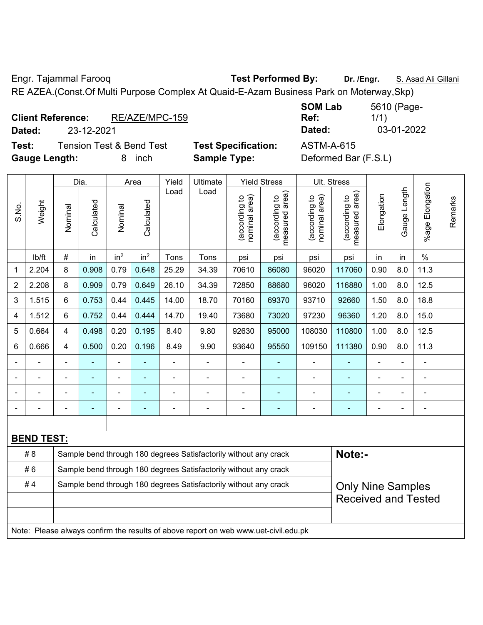Engr. Tajammal Farooq **Test Performed By:** Dr. /Engr. **S. Asad Ali Gillani** 

RE AZEA.(Const.Of Multi Purpose Complex At Quaid-E-Azam Business Park on Moterway,Skp)

| <b>Client Reference:</b> |            | RE/AZE/MPC-159 |
|--------------------------|------------|----------------|
| Dated:                   | 23-12-2021 |                |
|                          |            |                |

**Test:** Tension Test & Bend Test **Test Specification:** ASTM-A-615

**SOM Lab Ref:**  5610 (Page-1/1) **Dated:** 23-12-2021 **Dated:** 03-01-2022

**Gauge Length:** 8 inch **Sample Type:** Deformed Bar (F.S.L)

|                |                   |                                                                  | Dia.           |                 | Area            | Yield | Ultimate                                                                            |                                | <b>Yield Stress</b>             |                                | Ult. Stress                     |            |                          |                 |         |
|----------------|-------------------|------------------------------------------------------------------|----------------|-----------------|-----------------|-------|-------------------------------------------------------------------------------------|--------------------------------|---------------------------------|--------------------------------|---------------------------------|------------|--------------------------|-----------------|---------|
| S.No.          | Weight            | Nominal                                                          | Calculated     | Nominal         | Calculated      | Load  | Load                                                                                | (according to<br>nominal area) | (according to<br>measured area) | (according to<br>nominal area) | measured area)<br>(according to | Elongation | Gauge Length             | %age Elongation | Remarks |
|                | lb/ft             | #                                                                | in             | in <sup>2</sup> | in <sup>2</sup> | Tons  | Tons                                                                                | psi                            | psi                             | psi                            | psi                             | in         | in                       | $\frac{1}{2}$   |         |
| 1              | 2.204             | 8                                                                | 0.908          | 0.79            | 0.648           | 25.29 | 34.39                                                                               | 70610                          | 86080                           | 96020                          | 117060                          | 0.90       | 8.0                      | 11.3            |         |
| $\overline{2}$ | 2.208             | 8                                                                | 0.909          | 0.79            | 0.649           | 26.10 | 34.39                                                                               | 72850                          | 88680                           | 96020                          | 116880                          | 1.00       | 8.0                      | 12.5            |         |
| 3              | 1.515             | 6                                                                | 0.753          | 0.44            | 0.445           | 14.00 | 18.70                                                                               | 70160                          | 69370                           | 93710                          | 92660                           | 1.50       | 8.0                      | 18.8            |         |
| 4              | 1.512             | 6                                                                | 0.752          | 0.44            | 0.444           | 14.70 | 19.40                                                                               | 73680                          | 73020                           | 97230                          | 96360                           | 1.20       | 8.0                      | 15.0            |         |
| 5              | 0.664             | 4                                                                | 0.498          | 0.20            | 0.195           | 8.40  | 9.80                                                                                | 92630                          | 95000                           | 108030                         | 110800                          | 1.00       | 8.0                      | 12.5            |         |
| 6              | 0.666             | 4                                                                | 0.500          | 0.20            | 0.196           | 8.49  | 9.90                                                                                | 93640                          | 95550                           | 109150                         | 111380                          | 0.90       | 8.0                      | 11.3            |         |
|                | ä,                | $\blacksquare$                                                   |                | $\blacksquare$  |                 | ä,    | ÷.                                                                                  |                                | ÷                               | $\blacksquare$                 |                                 |            | ä,                       | $\blacksquare$  |         |
| $\blacksquare$ | ä,                | ä,                                                               | $\blacksquare$ | $\blacksquare$  |                 | L,    | ä,                                                                                  | $\blacksquare$                 | ÷                               | $\blacksquare$                 | ä,                              |            | ä,                       | ÷,              |         |
|                |                   |                                                                  |                |                 |                 |       | $\blacksquare$                                                                      |                                | ۰                               | $\blacksquare$                 | $\blacksquare$                  |            |                          | $\blacksquare$  |         |
|                |                   |                                                                  |                | $\blacksquare$  |                 | ä,    | ÷                                                                                   |                                | ۰                               |                                |                                 |            |                          | $\blacksquare$  |         |
|                |                   |                                                                  |                |                 |                 |       |                                                                                     |                                |                                 |                                |                                 |            |                          |                 |         |
|                | <b>BEND TEST:</b> |                                                                  |                |                 |                 |       |                                                                                     |                                |                                 |                                |                                 |            |                          |                 |         |
|                | # 8               |                                                                  |                |                 |                 |       | Sample bend through 180 degrees Satisfactorily without any crack                    |                                |                                 |                                | Note:-                          |            |                          |                 |         |
|                | #6                |                                                                  |                |                 |                 |       | Sample bend through 180 degrees Satisfactorily without any crack                    |                                |                                 |                                |                                 |            |                          |                 |         |
|                | #4                | Sample bend through 180 degrees Satisfactorily without any crack |                |                 |                 |       |                                                                                     |                                |                                 |                                |                                 |            | <b>Only Nine Samples</b> |                 |         |
|                |                   |                                                                  |                |                 |                 |       |                                                                                     |                                |                                 |                                | <b>Received and Tested</b>      |            |                          |                 |         |
|                |                   |                                                                  |                |                 |                 |       |                                                                                     |                                |                                 |                                |                                 |            |                          |                 |         |
|                |                   |                                                                  |                |                 |                 |       | Note: Please always confirm the results of above report on web www.uet-civil.edu.pk |                                |                                 |                                |                                 |            |                          |                 |         |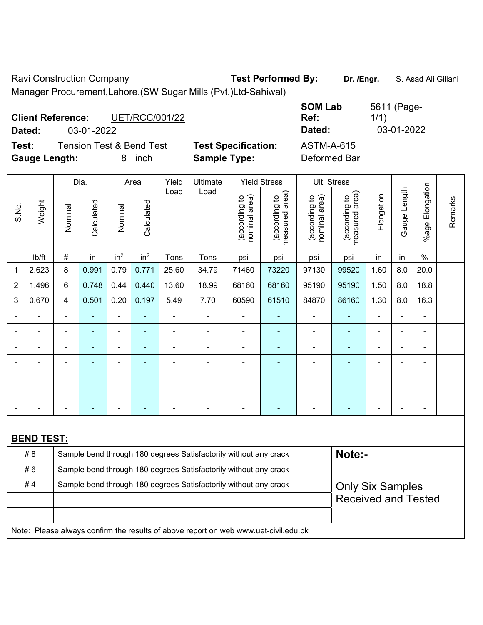Ravi Construction Company **Test Performed By:** Dr. /Engr. **S. Asad Ali Gillani** Manager Procurement,Lahore.(SW Sugar Mills (Pvt.)Ltd-Sahiwal)

| <b>Client Reference:</b><br>Dated: | 03-01-2022                          | <b>UET/RCC/001/22</b> |                            | <b>SOM Lab</b><br>Ref:<br>Dated: | 5611 (Page-<br>1/1)<br>03-01-2022 |
|------------------------------------|-------------------------------------|-----------------------|----------------------------|----------------------------------|-----------------------------------|
| Test:                              | <b>Tension Test &amp; Bend Test</b> |                       | <b>Test Specification:</b> | <b>ASTM-A-615</b>                |                                   |
| <b>Gauge Length:</b>               |                                     | inch                  | <b>Sample Type:</b>        | Deformed Bar                     |                                   |

|                |                   |                | Dia.           |                 | Area            | Yield                                                            | Ultimate                                                                            |                                | <b>Yield Stress</b><br>Ult. Stress |                                |                                 |            |                |                       |         |
|----------------|-------------------|----------------|----------------|-----------------|-----------------|------------------------------------------------------------------|-------------------------------------------------------------------------------------|--------------------------------|------------------------------------|--------------------------------|---------------------------------|------------|----------------|-----------------------|---------|
| S.No.          | Weight            | Nominal        | Calculated     | Nominal         | Calculated      | Load                                                             | Load                                                                                | nominal area)<br>(according to | (according to<br>measured area)    | nominal area)<br>(according to | (according to<br>measured area) | Elongation | Gauge Length   | Elongation<br>$%$ age | Remarks |
|                | Ib/ft             | $\#$           | in             | in <sup>2</sup> | in <sup>2</sup> | Tons                                                             | Tons                                                                                | psi                            | psi                                | psi                            | psi                             | in         | in             | $\frac{0}{0}$         |         |
| 1              | 2.623             | 8              | 0.991          | 0.79            | 0.771           | 25.60                                                            | 34.79                                                                               | 71460                          | 73220                              | 97130                          | 99520                           | 1.60       | 8.0            | 20.0                  |         |
| $\overline{2}$ | 1.496             | 6              | 0.748          | 0.44            | 0.440           | 13.60                                                            | 18.99                                                                               | 68160                          | 68160                              | 95190                          | 95190                           | 1.50       | 8.0            | 18.8                  |         |
| 3              | 0.670             | $\overline{4}$ | 0.501          | 0.20            | 0.197           | 5.49                                                             | 7.70                                                                                | 60590                          | 61510                              | 84870                          | 86160                           | 1.30       | 8.0            | 16.3                  |         |
|                |                   | $\blacksquare$ | ä,             | $\overline{a}$  | ÷,              | ä,                                                               | ÷,                                                                                  | $\blacksquare$                 | $\blacksquare$                     | $\blacksquare$                 | ä,                              | ÷,         | L,             | $\blacksquare$        |         |
|                |                   | $\blacksquare$ | ä,             | $\blacksquare$  | ÷               | $\blacksquare$                                                   | $\blacksquare$                                                                      | $\overline{\phantom{a}}$       | $\blacksquare$                     | ÷                              | $\blacksquare$                  | ÷          | ä,             | $\blacksquare$        |         |
|                |                   | $\blacksquare$ | ÷              | $\blacksquare$  | ٠               | $\blacksquare$                                                   | $\blacksquare$                                                                      | $\overline{a}$                 | $\blacksquare$                     | ÷                              | $\blacksquare$                  |            | $\blacksquare$ | $\blacksquare$        |         |
|                |                   |                | $\blacksquare$ | $\blacksquare$  | ÷               |                                                                  |                                                                                     | $\blacksquare$                 | $\blacksquare$                     | $\blacksquare$                 |                                 |            |                | $\blacksquare$        |         |
|                |                   |                |                | $\blacksquare$  |                 |                                                                  |                                                                                     |                                |                                    |                                |                                 |            | ٠              | Ē,                    |         |
|                |                   |                | ۰              | $\blacksquare$  | ÷               |                                                                  |                                                                                     | $\blacksquare$                 | ÷                                  | $\blacksquare$                 |                                 |            | ÷              | $\blacksquare$        |         |
| $\blacksquare$ |                   |                | $\blacksquare$ | $\blacksquare$  | ۰               | $\blacksquare$                                                   | $\blacksquare$                                                                      | $\overline{a}$                 | $\overline{\phantom{a}}$           | ÷                              |                                 | ٠          | ÷              | $\overline{a}$        |         |
|                |                   |                |                |                 |                 |                                                                  |                                                                                     |                                |                                    |                                |                                 |            |                |                       |         |
|                | <b>BEND TEST:</b> |                |                |                 |                 |                                                                  |                                                                                     |                                |                                    |                                |                                 |            |                |                       |         |
|                | # 8               |                |                |                 |                 |                                                                  | Sample bend through 180 degrees Satisfactorily without any crack                    |                                |                                    |                                | Note:-                          |            |                |                       |         |
|                | #6                |                |                |                 |                 |                                                                  | Sample bend through 180 degrees Satisfactorily without any crack                    |                                |                                    |                                |                                 |            |                |                       |         |
|                | #4                |                |                |                 |                 | Sample bend through 180 degrees Satisfactorily without any crack |                                                                                     | <b>Only Six Samples</b>        |                                    |                                |                                 |            |                |                       |         |
|                |                   |                |                |                 |                 |                                                                  |                                                                                     |                                |                                    |                                | <b>Received and Tested</b>      |            |                |                       |         |
|                |                   |                |                |                 |                 |                                                                  |                                                                                     |                                |                                    |                                |                                 |            |                |                       |         |
|                |                   |                |                |                 |                 |                                                                  | Note: Please always confirm the results of above report on web www.uet-civil.edu.pk |                                |                                    |                                |                                 |            |                |                       |         |